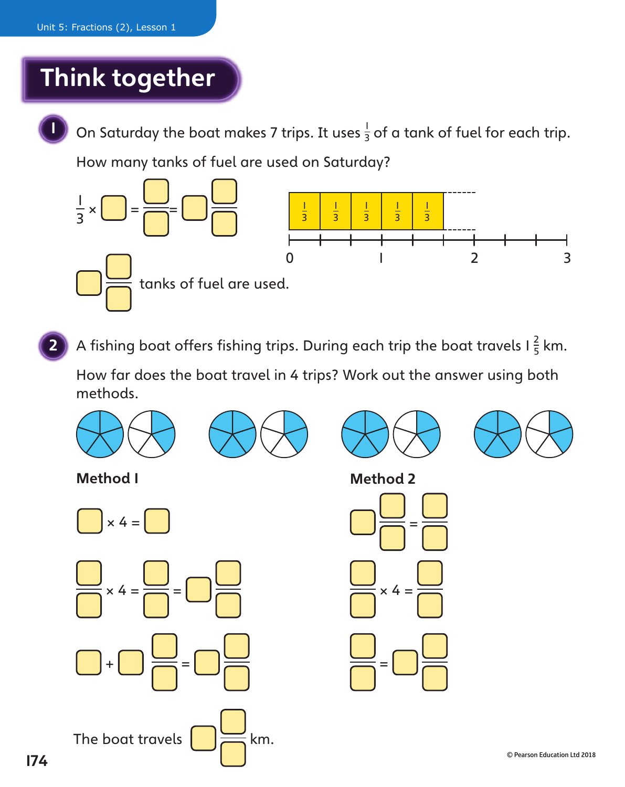## Think together



On Saturday the boat makes 7 trips. It uses  $\frac{1}{3}$  of a tank of fuel for each trip.

How many tanks of fuel are used on Saturday?



**2** A fishing boat offers fishing trips. During each trip the boat travels I  $\frac{2}{5}$  km.

 How far does the boat travel in 4 trips? Work out the answer using both methods.